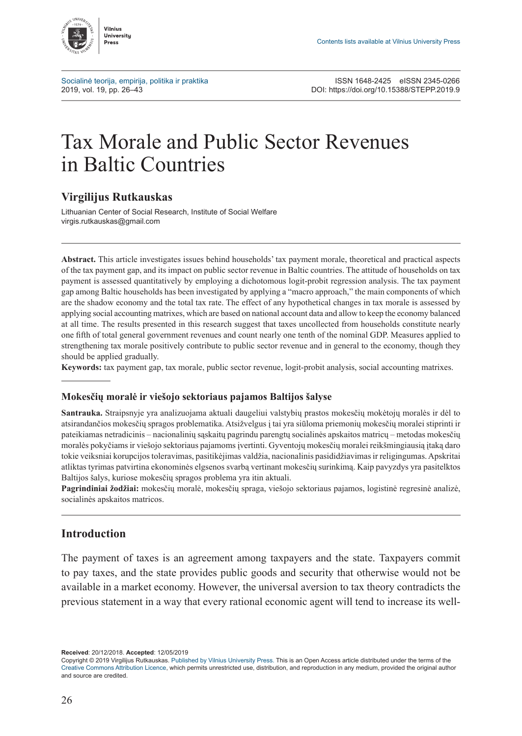

[Socialinė teorija, empirija, politika ir praktika](http://www.journals.vu.lt/STEPP) ISSN 1648-2425 eISSN 2345-0266<br>2019. vol. 19. pp. 26–43<br>2019. DOI: https://doi.org/10.15388/STEPP.2019.9 2019, vol. 19, pp. 26–43 DOI: <https://doi.org/10.15388/STEPP.2019.9>

# Tax Morale and Public Sector Revenues in Baltic Countries

## **Virgilijus Rutkauskas**

Lithuanian Center of Social Research, Institute of Social Welfare [virgis.rutkauskas@gmail.com](mailto:virgis.rutkauskas@gmail.com)

**Abstract.** This article investigates issues behind households' tax payment morale, theoretical and practical aspects of the tax payment gap, and its impact on public sector revenue in Baltic countries. The attitude of households on tax payment is assessed quantitatively by employing a dichotomous logit-probit regression analysis. The tax payment gap among Baltic households has been investigated by applying a "macro approach," the main components of which are the shadow economy and the total tax rate. The effect of any hypothetical changes in tax morale is assessed by applying social accounting matrixes, which are based on national account data and allow to keep the economy balanced at all time. The results presented in this research suggest that taxes uncollected from households constitute nearly one fifth of total general government revenues and count nearly one tenth of the nominal GDP. Measures applied to strengthening tax morale positively contribute to public sector revenue and in general to the economy, though they should be applied gradually.

**Keywords:** tax payment gap, tax morale, public sector revenue, logit-probit analysis, social accounting matrixes.

#### **Mokesčių moralė ir viešojo sektoriaus pajamos Baltijos šalyse**

**Santrauka.** Straipsnyje yra analizuojama aktuali daugeliui valstybių prastos mokesčių mokėtojų moralės ir dėl to atsirandančios mokesčių spragos problematika. Atsižvelgus į tai yra siūloma priemonių mokesčių moralei stiprinti ir pateikiamas netradicinis – nacionalinių sąskaitų pagrindu parengtų socialinės apskaitos matricų – metodas mokesčių moralės pokyčiams ir viešojo sektoriaus pajamoms įvertinti. Gyventojų mokesčių moralei reikšmingiausią įtaką daro tokie veiksniai korupcijos toleravimas, pasitikėjimas valdžia, nacionalinis pasididžiavimas ir religingumas. Apskritai atliktas tyrimas patvirtina ekonominės elgsenos svarbą vertinant mokesčių surinkimą. Kaip pavyzdys yra pasitelktos Baltijos šalys, kuriose mokesčių spragos problema yra itin aktuali.

**Pagrindiniai žodžiai:** mokesčių moralė, mokesčių spraga, viešojo sektoriaus pajamos, logistinė regresinė analizė, socialinės apskaitos matricos.

## **Introduction**

The payment of taxes is an agreement among taxpayers and the state. Taxpayers commit to pay taxes, and the state provides public goods and security that otherwise would not be available in a market economy. However, the universal aversion to tax theory contradicts the previous statement in a way that every rational economic agent will tend to increase its well-

**Received**: 20/12/2018. **Accepted**: 12/05/2019

Copyright © 2019 Virgilijus Rutkauskas. Published by [Vilnius University Press.](https://www.vu.lt/leidyba/) This is an Open Access article distributed under the terms of the [Creative Commons Attribution Licence,](https://creativecommons.org/licenses/by/4.0/) which permits unrestricted use, distribution, and reproduction in any medium, provided the original author and source are credited.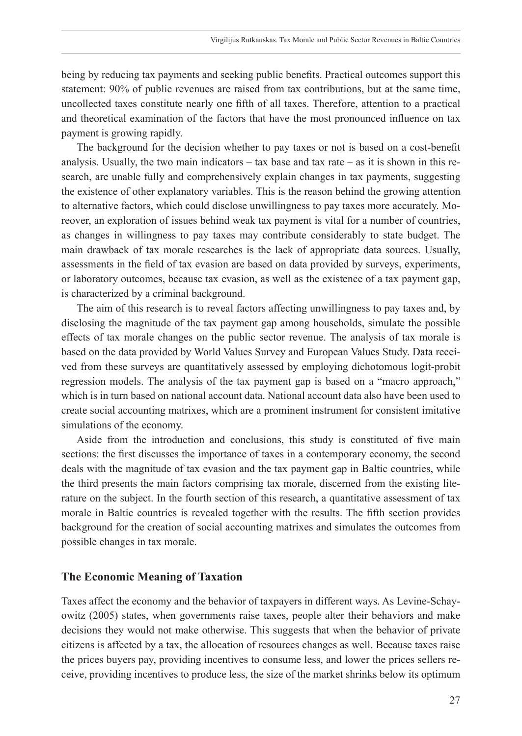being by reducing tax payments and seeking public benefits. Practical outcomes support this statement: 90% of public revenues are raised from tax contributions, but at the same time, uncollected taxes constitute nearly one fifth of all taxes. Therefore, attention to a practical and theoretical examination of the factors that have the most pronounced influence on tax payment is growing rapidly.

The background for the decision whether to pay taxes or not is based on a cost-benefit analysis. Usually, the two main indicators  $-$  tax base and tax rate  $-$  as it is shown in this research, are unable fully and comprehensively explain changes in tax payments, suggesting the existence of other explanatory variables. This is the reason behind the growing attention to alternative factors, which could disclose unwillingness to pay taxes more accurately. Moreover, an exploration of issues behind weak tax payment is vital for a number of countries, as changes in willingness to pay taxes may contribute considerably to state budget. The main drawback of tax morale researches is the lack of appropriate data sources. Usually, assessments in the field of tax evasion are based on data provided by surveys, experiments, or laboratory outcomes, because tax evasion, as well as the existence of a tax payment gap, is characterized by a criminal background.

The aim of this research is to reveal factors affecting unwillingness to pay taxes and, by disclosing the magnitude of the tax payment gap among households, simulate the possible effects of tax morale changes on the public sector revenue. The analysis of tax morale is based on the data provided by World Values Survey and European Values Study. Data received from these surveys are quantitatively assessed by employing dichotomous logit-probit regression models. The analysis of the tax payment gap is based on a "macro approach," which is in turn based on national account data. National account data also have been used to create social accounting matrixes, which are a prominent instrument for consistent imitative simulations of the economy.

Aside from the introduction and conclusions, this study is constituted of five main sections: the first discusses the importance of taxes in a contemporary economy, the second deals with the magnitude of tax evasion and the tax payment gap in Baltic countries, while the third presents the main factors comprising tax morale, discerned from the existing literature on the subject. In the fourth section of this research, a quantitative assessment of tax morale in Baltic countries is revealed together with the results. The fifth section provides background for the creation of social accounting matrixes and simulates the outcomes from possible changes in tax morale.

### **The Economic Meaning of Taxation**

Taxes affect the economy and the behavior of taxpayers in different ways. As Levine-Schayowitz (2005) states, when governments raise taxes, people alter their behaviors and make decisions they would not make otherwise. This suggests that when the behavior of private citizens is affected by a tax, the allocation of resources changes as well. Because taxes raise the prices buyers pay, providing incentives to consume less, and lower the prices sellers receive, providing incentives to produce less, the size of the market shrinks below its optimum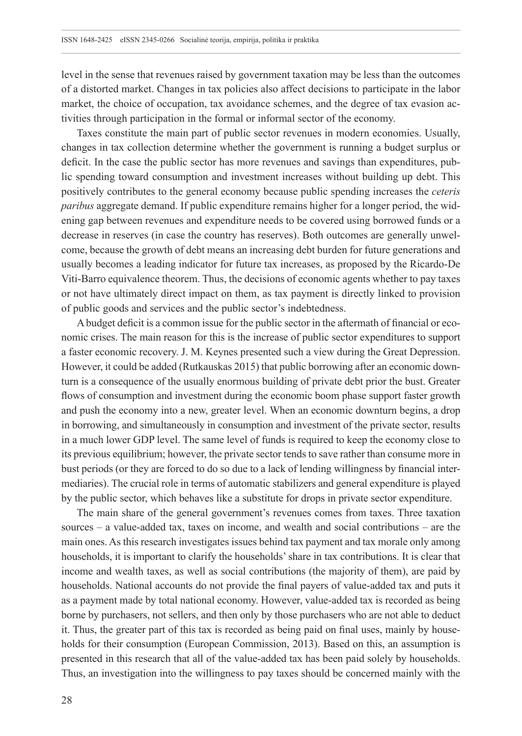level in the sense that revenues raised by government taxation may be less than the outcomes of a distorted market. Changes in tax policies also affect decisions to participate in the labor market, the choice of occupation, tax avoidance schemes, and the degree of tax evasion activities through participation in the formal or informal sector of the economy.

Taxes constitute the main part of public sector revenues in modern economies. Usually, changes in tax collection determine whether the government is running a budget surplus or deficit. In the case the public sector has more revenues and savings than expenditures, public spending toward consumption and investment increases without building up debt. This positively contributes to the general economy because public spending increases the *ceteris paribus* aggregate demand. If public expenditure remains higher for a longer period, the widening gap between revenues and expenditure needs to be covered using borrowed funds or a decrease in reserves (in case the country has reserves). Both outcomes are generally unwelcome, because the growth of debt means an increasing debt burden for future generations and usually becomes a leading indicator for future tax increases, as proposed by the Ricardo-De Viti-Barro equivalence theorem. Thus, the decisions of economic agents whether to pay taxes or not have ultimately direct impact on them, as tax payment is directly linked to provision of public goods and services and the public sector's indebtedness.

A budget deficit is a common issue for the public sector in the aftermath of financial or economic crises. The main reason for this is the increase of public sector expenditures to support a faster economic recovery. J. M. Keynes presented such a view during the Great Depression. However, it could be added (Rutkauskas 2015) that public borrowing after an economic downturn is a consequence of the usually enormous building of private debt prior the bust. Greater flows of consumption and investment during the economic boom phase support faster growth and push the economy into a new, greater level. When an economic downturn begins, a drop in borrowing, and simultaneously in consumption and investment of the private sector, results in a much lower GDP level. The same level of funds is required to keep the economy close to its previous equilibrium; however, the private sector tends to save rather than consume more in bust periods (or they are forced to do so due to a lack of lending willingness by financial intermediaries). The crucial role in terms of automatic stabilizers and general expenditure is played by the public sector, which behaves like a substitute for drops in private sector expenditure.

The main share of the general government's revenues comes from taxes. Three taxation sources – a value-added tax, taxes on income, and wealth and social contributions – are the main ones. As this research investigates issues behind tax payment and tax morale only among households, it is important to clarify the households' share in tax contributions. It is clear that income and wealth taxes, as well as social contributions (the majority of them), are paid by households. National accounts do not provide the final payers of value-added tax and puts it as a payment made by total national economy. However, value-added tax is recorded as being borne by purchasers, not sellers, and then only by those purchasers who are not able to deduct it. Thus, the greater part of this tax is recorded as being paid on final uses, mainly by households for their consumption (European Commission, 2013). Based on this, an assumption is presented in this research that all of the value-added tax has been paid solely by households. Thus, an investigation into the willingness to pay taxes should be concerned mainly with the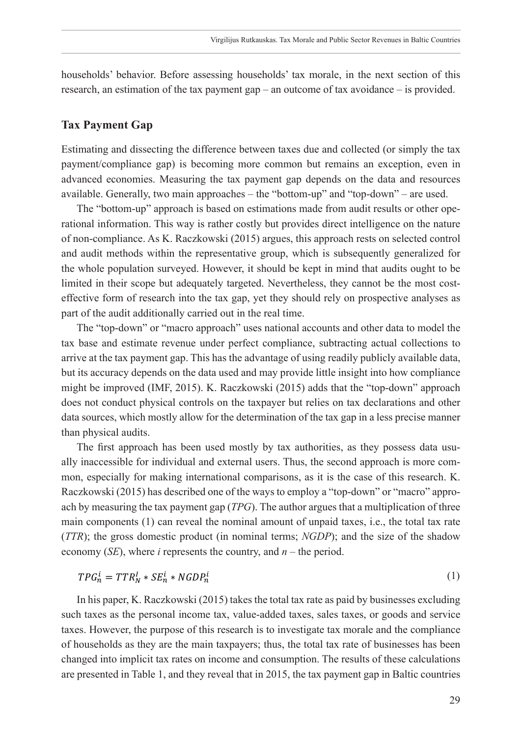households' behavior. Before assessing households' tax morale, in the next section of this research, an estimation of the tax payment gap – an outcome of tax avoidance – is provided.

## **Tax Payment Gap**

Estimating and dissecting the difference between taxes due and collected (or simply the tax payment/compliance gap) is becoming more common but remains an exception, even in advanced economies. Measuring the tax payment gap depends on the data and resources available. Generally, two main approaches – the "bottom-up" and "top-down" – are used.

The "bottom-up" approach is based on estimations made from audit results or other operational information. This way is rather costly but provides direct intelligence on the nature of non-compliance. As K. Raczkowski (2015) argues, this approach rests on selected control and audit methods within the representative group, which is subsequently generalized for the whole population surveyed. However, it should be kept in mind that audits ought to be limited in their scope but adequately targeted. Nevertheless, they cannot be the most costeffective form of research into the tax gap, yet they should rely on prospective analyses as part of the audit additionally carried out in the real time.

The "top-down" or "macro approach" uses national accounts and other data to model the tax base and estimate revenue under perfect compliance, subtracting actual collections to arrive at the tax payment gap. This has the advantage of using readily publicly available data, but its accuracy depends on the data used and may provide little insight into how compliance might be improved (IMF, 2015). K. Raczkowski (2015) adds that the "top-down" approach does not conduct physical controls on the taxpayer but relies on tax declarations and other data sources, which mostly allow for the determination of the tax gap in a less precise manner than physical audits.

The first approach has been used mostly by tax authorities, as they possess data usually inaccessible for individual and external users. Thus, the second approach is more common, especially for making international comparisons, as it is the case of this research. K. Raczkowski (2015) has described one of the ways to employ a "top-down" or "macro" approach by measuring the tax payment gap (*TPG*). The author argues that a multiplication of three main components (1) can reveal the nominal amount of unpaid taxes, i.e., the total tax rate (*TTR*); the gross domestic product (in nominal terms; *NGDP*); and the size of the shadow economy (*SE*), where *i* represents the country, and *n* – the period.

$$
TPG_n^i = TTR_N^I * SE_n^i * NGDP_n^i
$$
\n<sup>(1)</sup>

In his paper, K. Raczkowski (2015) takes the total tax rate as paid by businesses excluding such taxes as the personal income tax, value-added taxes, sales taxes, or goods and service taxes. However, the purpose of this research is to investigate tax morale and the compliance of households as they are the main taxpayers; thus, the total tax rate of businesses has been changed into implicit tax rates on income and consumption. The results of these calculations are presented in Table 1, and they reveal that in 2015, the tax payment gap in Baltic countries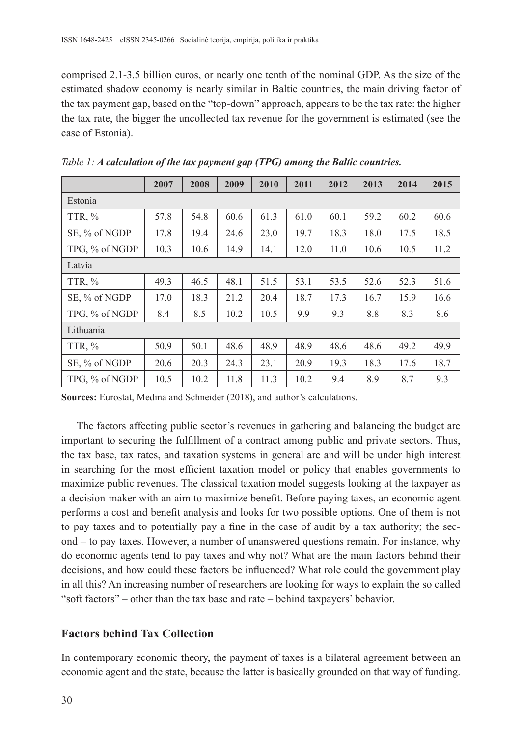comprised 2.1-3.5 billion euros, or nearly one tenth of the nominal GDP. As the size of the estimated shadow economy is nearly similar in Baltic countries, the main driving factor of the tax payment gap, based on the "top-down" approach, appears to be the tax rate: the higher the tax rate, the bigger the uncollected tax revenue for the government is estimated (see the case of Estonia).

|                | 2007 | 2008 | 2009 | 2010 | 2011 | 2012 | 2013 | 2014 | 2015 |  |  |
|----------------|------|------|------|------|------|------|------|------|------|--|--|
| Estonia        |      |      |      |      |      |      |      |      |      |  |  |
| TTR, %         | 57.8 | 54.8 | 60.6 | 61.3 | 61.0 | 60.1 | 59.2 | 60.2 | 60.6 |  |  |
| SE, % of NGDP  | 17.8 | 19.4 | 24.6 | 23.0 | 19.7 | 18.3 | 18.0 | 17.5 | 18.5 |  |  |
| TPG, % of NGDP | 10.3 | 10.6 | 14.9 | 14.1 | 12.0 | 11.0 | 10.6 | 10.5 | 11.2 |  |  |
| Latvia         |      |      |      |      |      |      |      |      |      |  |  |
| TTR, $\%$      | 49.3 | 46.5 | 48.1 | 51.5 | 53.1 | 53.5 | 52.6 | 52.3 | 51.6 |  |  |
| SE, % of NGDP  | 17.0 | 18.3 | 21.2 | 20.4 | 18.7 | 17.3 | 16.7 | 15.9 | 16.6 |  |  |
| TPG, % of NGDP | 8.4  | 8.5  | 10.2 | 10.5 | 9.9  | 9.3  | 8.8  | 8.3  | 8.6  |  |  |
| Lithuania      |      |      |      |      |      |      |      |      |      |  |  |
| TTR, $%$       | 50.9 | 50.1 | 48.6 | 48.9 | 48.9 | 48.6 | 48.6 | 49.2 | 49.9 |  |  |
| SE, % of NGDP  | 20.6 | 20.3 | 24.3 | 23.1 | 20.9 | 19.3 | 18.3 | 17.6 | 18.7 |  |  |
| TPG, % of NGDP | 10.5 | 10.2 | 11.8 | 11.3 | 10.2 | 9.4  | 8.9  | 8.7  | 9.3  |  |  |

*Table 1: A calculation of the tax payment gap (TPG) among the Baltic countries.*

**Sources:** Eurostat, Medina and Schneider (2018), and author's calculations.

The factors affecting public sector's revenues in gathering and balancing the budget are important to securing the fulfillment of a contract among public and private sectors. Thus, the tax base, tax rates, and taxation systems in general are and will be under high interest in searching for the most efficient taxation model or policy that enables governments to maximize public revenues. The classical taxation model suggests looking at the taxpayer as a decision-maker with an aim to maximize benefit. Before paying taxes, an economic agent performs a cost and benefit analysis and looks for two possible options. One of them is not to pay taxes and to potentially pay a fine in the case of audit by a tax authority; the second – to pay taxes. However, a number of unanswered questions remain. For instance, why do economic agents tend to pay taxes and why not? What are the main factors behind their decisions, and how could these factors be influenced? What role could the government play in all this? An increasing number of researchers are looking for ways to explain the so called "soft factors" – other than the tax base and rate – behind taxpayers' behavior.

## **Factors behind Tax Collection**

In contemporary economic theory, the payment of taxes is a bilateral agreement between an economic agent and the state, because the latter is basically grounded on that way of funding.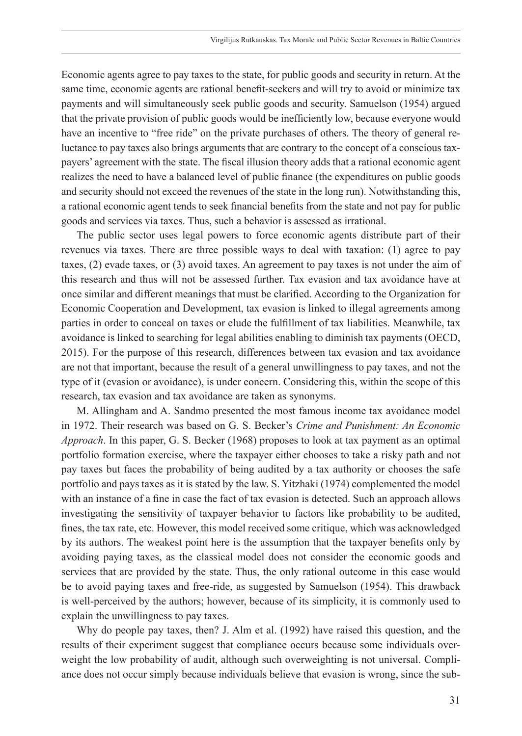Economic agents agree to pay taxes to the state, for public goods and security in return. At the same time, economic agents are rational benefit-seekers and will try to avoid or minimize tax payments and will simultaneously seek public goods and security. Samuelson (1954) argued that the private provision of public goods would be inefficiently low, because everyone would have an incentive to "free ride" on the private purchases of others. The theory of general reluctance to pay taxes also brings arguments that are contrary to the concept of a conscious taxpayers' agreement with the state. The fiscal illusion theory adds that a rational economic agent realizes the need to have a balanced level of public finance (the expenditures on public goods and security should not exceed the revenues of the state in the long run). Notwithstanding this, a rational economic agent tends to seek financial benefits from the state and not pay for public goods and services via taxes. Thus, such a behavior is assessed as irrational.

The public sector uses legal powers to force economic agents distribute part of their revenues via taxes. There are three possible ways to deal with taxation: (1) agree to pay taxes, (2) evade taxes, or (3) avoid taxes. An agreement to pay taxes is not under the aim of this research and thus will not be assessed further. Tax evasion and tax avoidance have at once similar and different meanings that must be clarified. According to the Organization for Economic Cooperation and Development, tax evasion is linked to illegal agreements among parties in order to conceal on taxes or elude the fulfillment of tax liabilities. Meanwhile, tax avoidance is linked to searching for legal abilities enabling to diminish tax payments (OECD, 2015). For the purpose of this research, differences between tax evasion and tax avoidance are not that important, because the result of a general unwillingness to pay taxes, and not the type of it (evasion or avoidance), is under concern. Considering this, within the scope of this research, tax evasion and tax avoidance are taken as synonyms.

M. Allingham and A. Sandmo presented the most famous income tax avoidance model in 1972. Their research was based on G. S. Becker's *Crime and Punishment: An Economic Approach*. In this paper, G. S. Becker (1968) proposes to look at tax payment as an optimal portfolio formation exercise, where the taxpayer either chooses to take a risky path and not pay taxes but faces the probability of being audited by a tax authority or chooses the safe portfolio and pays taxes as it is stated by the law. S. Yitzhaki (1974) complemented the model with an instance of a fine in case the fact of tax evasion is detected. Such an approach allows investigating the sensitivity of taxpayer behavior to factors like probability to be audited, fines, the tax rate, etc. However, this model received some critique, which was acknowledged by its authors. The weakest point here is the assumption that the taxpayer benefits only by avoiding paying taxes, as the classical model does not consider the economic goods and services that are provided by the state. Thus, the only rational outcome in this case would be to avoid paying taxes and free-ride, as suggested by Samuelson (1954). This drawback is well-perceived by the authors; however, because of its simplicity, it is commonly used to explain the unwillingness to pay taxes.

Why do people pay taxes, then? J. Alm et al. (1992) have raised this question, and the results of their experiment suggest that compliance occurs because some individuals overweight the low probability of audit, although such overweighting is not universal. Compliance does not occur simply because individuals believe that evasion is wrong, since the sub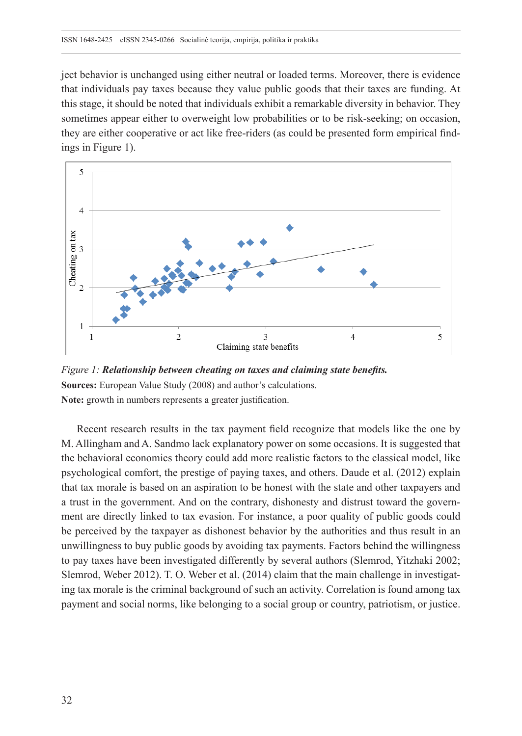ject behavior is unchanged using either neutral or loaded terms. Moreover, there is evidence that individuals pay taxes because they value public goods that their taxes are funding. At this stage, it should be noted that individuals exhibit a remarkable diversity in behavior. They sometimes appear either to overweight low probabilities or to be risk-seeking; on occasion, they are either cooperative or act like free-riders (as could be presented form empirical findings in Figure 1).



*Figure 1: Relationship between cheating on taxes and claiming state benefits.*  **Sources:** European Value Study (2008) and author's calculations. **Note:** growth in numbers represents a greater justification.

Recent research results in the tax payment field recognize that models like the one by M. Allingham and A. Sandmo lack explanatory power on some occasions. It is suggested that the behavioral economics theory could add more realistic factors to the classical model, like psychological comfort, the prestige of paying taxes, and others. Daude et al. (2012) explain that tax morale is based on an aspiration to be honest with the state and other taxpayers and a trust in the government. And on the contrary, dishonesty and distrust toward the government are directly linked to tax evasion. For instance, a poor quality of public goods could be perceived by the taxpayer as dishonest behavior by the authorities and thus result in an unwillingness to buy public goods by avoiding tax payments. Factors behind the willingness to pay taxes have been investigated differently by several authors (Slemrod, Yitzhaki 2002; Slemrod, Weber 2012). T. O. Weber et al. (2014) claim that the main challenge in investigating tax morale is the criminal background of such an activity. Correlation is found among tax payment and social norms, like belonging to a social group or country, patriotism, or justice.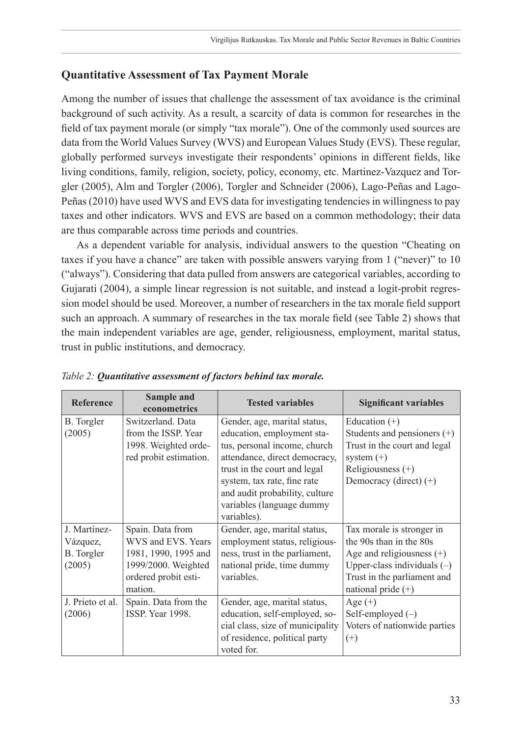## **Quantitative Assessment of Tax Payment Morale**

Among the number of issues that challenge the assessment of tax avoidance is the criminal background of such activity. As a result, a scarcity of data is common for researches in the field of tax payment morale (or simply "tax morale"). One of the commonly used sources are data from the World Values Survey (WVS) and European Values Study (EVS). These regular, globally performed surveys investigate their respondents' opinions in different fields, like living conditions, family, religion, society, policy, economy, etc. Martinez-Vazquez and Torgler (2005), Alm and Torgler (2006), Torgler and Schneider (2006), Lago-Peñas and Lago-Peñas (2010) have used WVS and EVS data for investigating tendencies in willingness to pay taxes and other indicators. WVS and EVS are based on a common methodology; their data are thus comparable across time periods and countries.

As a dependent variable for analysis, individual answers to the question "Cheating on taxes if you have a chance" are taken with possible answers varying from 1 ("never)" to 10 ("always"). Considering that data pulled from answers are categorical variables, according to Gujarati (2004), a simple linear regression is not suitable, and instead a logit-probit regression model should be used. Moreover, a number of researchers in the tax morale field support such an approach. A summary of researches in the tax morale field (see Table 2) shows that the main independent variables are age, gender, religiousness, employment, marital status, trust in public institutions, and democracy.

| Reference                                               | Sample and<br>econometrics                                                                                               | <b>Tested variables</b>                                                                                                                                                                                                                                                  | <b>Significant variables</b>                                                                                                                                                |
|---------------------------------------------------------|--------------------------------------------------------------------------------------------------------------------------|--------------------------------------------------------------------------------------------------------------------------------------------------------------------------------------------------------------------------------------------------------------------------|-----------------------------------------------------------------------------------------------------------------------------------------------------------------------------|
| <b>B.</b> Torgler<br>(2005)                             | Switzerland, Data<br>from the ISSP. Year<br>1998. Weighted orde-<br>red probit estimation.                               | Gender, age, marital status,<br>education, employment sta-<br>tus, personal income, church<br>attendance, direct democracy,<br>trust in the court and legal<br>system, tax rate, fine rate<br>and audit probability, culture<br>variables (language dummy<br>variables). | Education $(+)$<br>Students and pensioners $(+)$<br>Trust in the court and legal<br>system $(+)$<br>Religiousness $(+)$<br>Democracy (direct) $(+)$                         |
| J. Martínez-<br>Vázquez,<br><b>B.</b> Torgler<br>(2005) | Spain. Data from<br>WVS and EVS. Years<br>1981, 1990, 1995 and<br>1999/2000. Weighted<br>ordered probit esti-<br>mation. | Gender, age, marital status,<br>employment status, religious-<br>ness, trust in the parliament,<br>national pride, time dummy<br>variables.                                                                                                                              | Tax morale is stronger in<br>the 90s than in the 80s<br>Age and religiousness $(+)$<br>Upper-class individuals $(-)$<br>Trust in the parliament and<br>national pride $(+)$ |
| J. Prieto et al.<br>(2006)                              | Spain. Data from the<br>ISSP Year 1998.                                                                                  | Gender, age, marital status,<br>education, self-employed, so-<br>cial class, size of municipality<br>of residence, political party<br>voted for.                                                                                                                         | Age $(+)$<br>Self-employed $(-)$<br>Voters of nationwide parties<br>$^{(+)}$                                                                                                |

*Table 2: Quantitative assessment of factors behind tax morale.*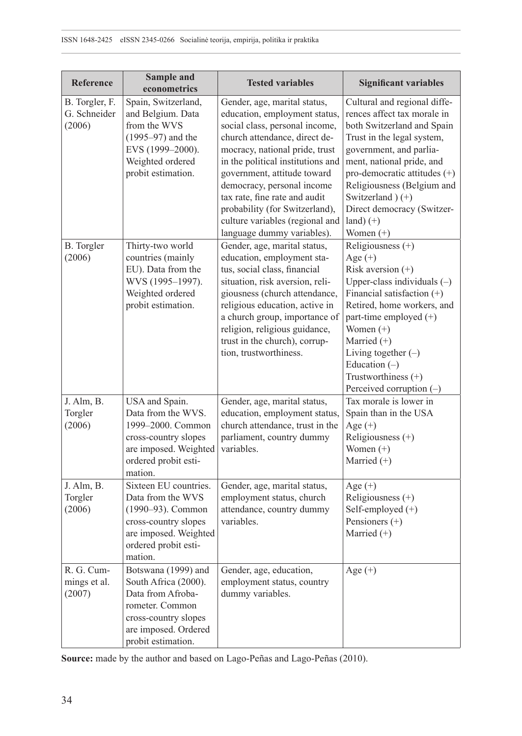| Reference                                | Sample and<br>econometrics                                                                                                                                | <b>Tested variables</b>                                                                                                                                                                                                                                                                                                                                                                                  | <b>Significant variables</b>                                                                                                                                                                                                                                                                                                 |
|------------------------------------------|-----------------------------------------------------------------------------------------------------------------------------------------------------------|----------------------------------------------------------------------------------------------------------------------------------------------------------------------------------------------------------------------------------------------------------------------------------------------------------------------------------------------------------------------------------------------------------|------------------------------------------------------------------------------------------------------------------------------------------------------------------------------------------------------------------------------------------------------------------------------------------------------------------------------|
| B. Torgler, F.<br>G. Schneider<br>(2006) | Spain, Switzerland,<br>and Belgium. Data<br>from the WVS<br>$(1995 - 97)$ and the<br>EVS (1999-2000).<br>Weighted ordered<br>probit estimation.           | Gender, age, marital status,<br>education, employment status,<br>social class, personal income,<br>church attendance, direct de-<br>mocracy, national pride, trust<br>in the political institutions and<br>government, attitude toward<br>democracy, personal income<br>tax rate, fine rate and audit<br>probability (for Switzerland),<br>culture variables (regional and<br>language dummy variables). | Cultural and regional diffe-<br>rences affect tax morale in<br>both Switzerland and Spain<br>Trust in the legal system,<br>government, and parlia-<br>ment, national pride, and<br>pro-democratic attitudes (+)<br>Religiousness (Belgium and<br>Switzerland (+)<br>Direct democracy (Switzer-<br>$land) (+)$<br>Women $(+)$ |
| B. Torgler<br>(2006)                     | Thirty-two world<br>countries (mainly<br>EU). Data from the<br>WVS (1995-1997).<br>Weighted ordered<br>probit estimation.                                 | Gender, age, marital status,<br>education, employment sta-<br>tus, social class, financial<br>situation, risk aversion, reli-<br>giousness (church attendance,<br>religious education, active in<br>a church group, importance of<br>religion, religious guidance,<br>trust in the church), corrup-<br>tion, trustworthiness.                                                                            | Religiousness (+)<br>Age $(+)$<br>Risk aversion $(+)$<br>Upper-class individuals $(-)$<br>Financial satisfaction $(+)$<br>Retired, home workers, and<br>part-time employed (+)<br>Women $(+)$<br>Married (+)<br>Living together $(-)$<br>Education $(-)$<br>Trustworthiness (+)<br>Perceived corruption $(-)$                |
| J. Alm, B.<br>Torgler<br>(2006)          | USA and Spain.<br>Data from the WVS.<br>1999-2000. Common<br>cross-country slopes<br>are imposed. Weighted<br>ordered probit esti-<br>mation.             | Gender, age, marital status,<br>education, employment status,<br>church attendance, trust in the<br>parliament, country dummy<br>variables.                                                                                                                                                                                                                                                              | Tax morale is lower in<br>Spain than in the USA<br>Age $(+)$<br>Religiousness (+)<br>Women $(+)$<br>Married $(+)$                                                                                                                                                                                                            |
| J. Alm, B.<br>Torgler<br>(2006)          | Sixteen EU countries.<br>Data from the WVS<br>(1990-93). Common<br>cross-country slopes<br>are imposed. Weighted<br>ordered probit esti-<br>mation.       | Gender, age, marital status,<br>employment status, church<br>attendance, country dummy<br>variables.                                                                                                                                                                                                                                                                                                     | Age $(+)$<br>Religiousness $(+)$<br>Self-employed (+)<br>Pensioners (+)<br>Married $(+)$                                                                                                                                                                                                                                     |
| R. G. Cum-<br>mings et al.<br>(2007)     | Botswana (1999) and<br>South Africa (2000).<br>Data from Afroba-<br>rometer. Common<br>cross-country slopes<br>are imposed. Ordered<br>probit estimation. | Gender, age, education,<br>employment status, country<br>dummy variables.                                                                                                                                                                                                                                                                                                                                | Age $(+)$                                                                                                                                                                                                                                                                                                                    |

**Source:** made by the author and based on Lago-Peñas and Lago-Peñas (2010).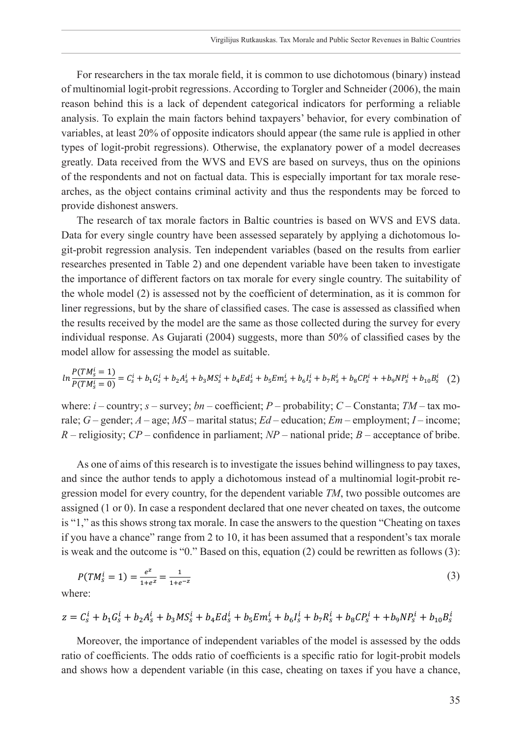For researchers in the tax morale field, it is common to use dichotomous (binary) instead of multinomial logit-probit regressions. According to Torgler and Schneider (2006), the main reason behind this is a lack of dependent categorical indicators for performing a reliable analysis. To explain the main factors behind taxpayers' behavior, for every combination of variables, at least 20% of opposite indicators should appear (the same rule is applied in other types of logit-probit regressions). Otherwise, the explanatory power of a model decreases greatly. Data received from the WVS and EVS are based on surveys, thus on the opinions of the respondents and not on factual data. This is especially important for tax morale researches, as the object contains criminal activity and thus the respondents may be forced to provide dishonest answers.

The research of tax morale factors in Baltic countries is based on WVS and EVS data. Data for every single country have been assessed separately by applying a dichotomous logit-probit regression analysis. Ten independent variables (based on the results from earlier researches presented in Table 2) and one dependent variable have been taken to investigate the importance of different factors on tax morale for every single country. The suitability of the whole model (2) is assessed not by the coefficient of determination, as it is common for liner regressions, but by the share of classified cases. The case is assessed as classified when the results received by the model are the same as those collected during the survey for every individual response. As Gujarati (2004) suggests, more than 50% of classified cases by the model allow for assessing the model as suitable.

$$
ln\frac{P(TM_s^i=1)}{P(TM_s^i=0)} = C_s^i + b_1G_s^i + b_2A_s^i + b_3MS_s^i + b_4Ed_s^i + b_5Em_s^i + b_6I_s^i + b_7R_s^i + b_8CP_s^i + b_9NP_s^i + b_{10}B_s^i
$$
 (2)

where: *i* – country; *s* – survey; *bn* – coefficient; *P* – probability; *C* – Constanta; *TM* – tax morale; *G* – gender; *A* – age; *MS* – marital status; *Ed* – education; *Em* – employment; *I* – income; *R* – religiosity; *CP* – confidence in parliament; *NP* – national pride; *B* – acceptance of bribe.

As one of aims of this research is to investigate the issues behind willingness to pay taxes, and since the author tends to apply a dichotomous instead of a multinomial logit-probit regression model for every country, for the dependent variable *TM*, two possible outcomes are assigned (1 or 0). In case a respondent declared that one never cheated on taxes, the outcome is "1," as this shows strong tax morale. In case the answers to the question "Cheating on taxes if you have a chance" range from 2 to 10, it has been assumed that a respondent's tax morale is weak and the outcome is "0." Based on this, equation (2) could be rewritten as follows (3):

$$
P(TM_s^i = 1) = \frac{e^z}{1 + e^z} = \frac{1}{1 + e^{-z}}
$$
(3)

where:

$$
z = C_s^l + b_1 C_s^l + b_2 A_s^l + b_3 M S_s^l + b_4 E d_s^l + b_5 E m_s^l + b_6 I_s^l + b_7 R_s^l + b_8 C P_s^l + b_9 N P_s^l + b_{10} B_s^l
$$

Moreover, the importance of independent variables of the model is assessed by the odds ratio of coefficients. The odds ratio of coefficients is a specific ratio for logit-probit models and shows how a dependent variable (in this case, cheating on taxes if you have a chance,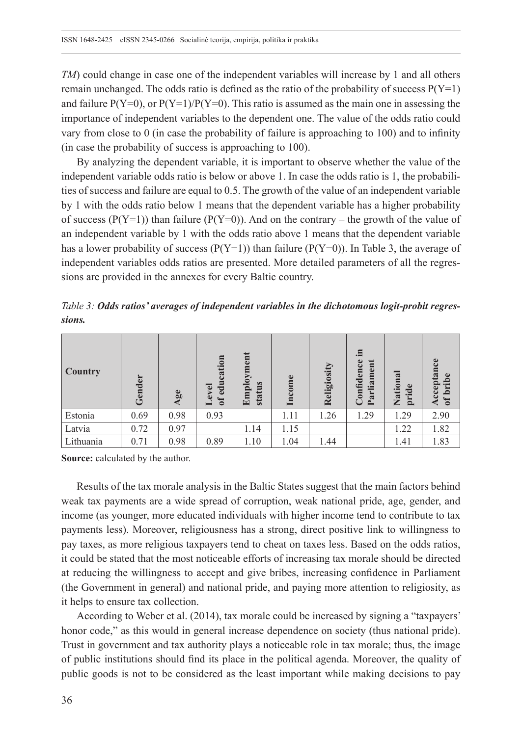*TM*) could change in case one of the independent variables will increase by 1 and all others remain unchanged. The odds ratio is defined as the ratio of the probability of success  $P(Y=1)$ and failure  $P(Y=0)$ , or  $P(Y=1)/P(Y=0)$ . This ratio is assumed as the main one in assessing the importance of independent variables to the dependent one. The value of the odds ratio could vary from close to 0 (in case the probability of failure is approaching to 100) and to infinity (in case the probability of success is approaching to 100).

By analyzing the dependent variable, it is important to observe whether the value of the independent variable odds ratio is below or above 1. In case the odds ratio is 1, the probabilities of success and failure are equal to 0.5. The growth of the value of an independent variable by 1 with the odds ratio below 1 means that the dependent variable has a higher probability of success ( $P(Y=1)$ ) than failure ( $P(Y=0)$ ). And on the contrary – the growth of the value of an independent variable by 1 with the odds ratio above 1 means that the dependent variable has a lower probability of success ( $P(Y=1)$ ) than failure ( $P(Y=0)$ ). In Table 3, the average of independent variables odds ratios are presented. More detailed parameters of all the regressions are provided in the annexes for every Baltic country.

*Table 3: Odds ratios' averages of independent variables in the dichotomous logit-probit regressions.*

| <b>Country</b> | Gender | Age  | cation<br>${\tt d}$ u<br>evel<br>$\delta$ | Employment<br>tus<br>stat | me   | Religiosity | .Ξ<br>onfidence<br>ent<br>Parliam | ಷ<br>pride<br>Natio | Lee<br>Acceptan<br>bribe<br>$\mathfrak{h}$ |
|----------------|--------|------|-------------------------------------------|---------------------------|------|-------------|-----------------------------------|---------------------|--------------------------------------------|
| Estonia        | 0.69   | 0.98 | 0.93                                      |                           | 1.11 | 1.26        | 1.29                              | 1.29                | 2.90                                       |
| Latvia         | 0.72   | 0.97 |                                           | 1.14                      | 1.15 |             |                                   | 1.22                | 1.82                                       |
| Lithuania      | 0.71   | 0.98 | 0.89                                      | 1.10                      | 1.04 | 1.44        |                                   | 1.41                | 1.83                                       |

**Source:** calculated by the author.

Results of the tax morale analysis in the Baltic States suggest that the main factors behind weak tax payments are a wide spread of corruption, weak national pride, age, gender, and income (as younger, more educated individuals with higher income tend to contribute to tax payments less). Moreover, religiousness has a strong, direct positive link to willingness to pay taxes, as more religious taxpayers tend to cheat on taxes less. Based on the odds ratios, it could be stated that the most noticeable efforts of increasing tax morale should be directed at reducing the willingness to accept and give bribes, increasing confidence in Parliament (the Government in general) and national pride, and paying more attention to religiosity, as it helps to ensure tax collection.

According to Weber et al. (2014), tax morale could be increased by signing a "taxpayers' honor code," as this would in general increase dependence on society (thus national pride). Trust in government and tax authority plays a noticeable role in tax morale; thus, the image of public institutions should find its place in the political agenda. Moreover, the quality of public goods is not to be considered as the least important while making decisions to pay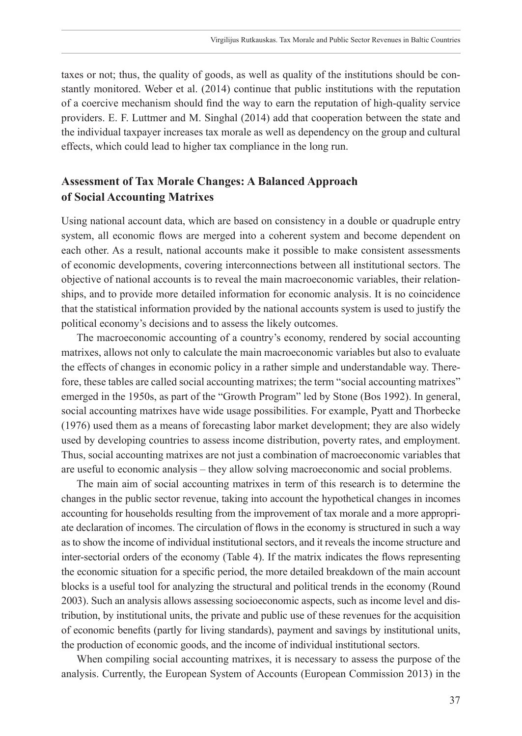taxes or not; thus, the quality of goods, as well as quality of the institutions should be constantly monitored. Weber et al. (2014) continue that public institutions with the reputation of a coercive mechanism should find the way to earn the reputation of high-quality service providers. E. F. Luttmer and M. Singhal (2014) add that cooperation between the state and the individual taxpayer increases tax morale as well as dependency on the group and cultural effects, which could lead to higher tax compliance in the long run.

# **Assessment of Tax Morale Changes: A Balanced Approach of Social Accounting Matrixes**

Using national account data, which are based on consistency in a double or quadruple entry system, all economic flows are merged into a coherent system and become dependent on each other. As a result, national accounts make it possible to make consistent assessments of economic developments, covering interconnections between all institutional sectors. The objective of national accounts is to reveal the main macroeconomic variables, their relationships, and to provide more detailed information for economic analysis. It is no coincidence that the statistical information provided by the national accounts system is used to justify the political economy's decisions and to assess the likely outcomes.

The macroeconomic accounting of a country's economy, rendered by social accounting matrixes, allows not only to calculate the main macroeconomic variables but also to evaluate the effects of changes in economic policy in a rather simple and understandable way. Therefore, these tables are called social accounting matrixes; the term "social accounting matrixes" emerged in the 1950s, as part of the "Growth Program" led by Stone (Bos 1992). In general, social accounting matrixes have wide usage possibilities. For example, Pyatt and Thorbecke (1976) used them as a means of forecasting labor market development; they are also widely used by developing countries to assess income distribution, poverty rates, and employment. Thus, social accounting matrixes are not just a combination of macroeconomic variables that are useful to economic analysis – they allow solving macroeconomic and social problems.

The main aim of social accounting matrixes in term of this research is to determine the changes in the public sector revenue, taking into account the hypothetical changes in incomes accounting for households resulting from the improvement of tax morale and a more appropriate declaration of incomes. The circulation of flows in the economy is structured in such a way as to show the income of individual institutional sectors, and it reveals the income structure and inter-sectorial orders of the economy (Table 4). If the matrix indicates the flows representing the economic situation for a specific period, the more detailed breakdown of the main account blocks is a useful tool for analyzing the structural and political trends in the economy (Round 2003). Such an analysis allows assessing socioeconomic aspects, such as income level and distribution, by institutional units, the private and public use of these revenues for the acquisition of economic benefits (partly for living standards), payment and savings by institutional units, the production of economic goods, and the income of individual institutional sectors.

When compiling social accounting matrixes, it is necessary to assess the purpose of the analysis. Currently, the European System of Accounts (European Commission 2013) in the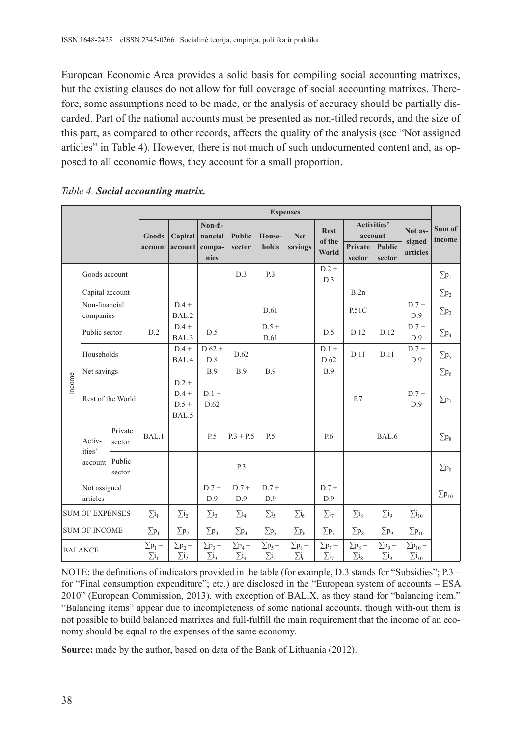European Economic Area provides a solid basis for compiling social accounting matrixes, but the existing clauses do not allow for full coverage of social accounting matrixes. Therefore, some assumptions need to be made, or the analysis of accuracy should be partially discarded. Part of the national accounts must be presented as non-titled records, and the size of this part, as compared to other records, affects the quality of the analysis (see "Not assigned articles" in Table 4). However, there is not much of such undocumented content and, as opposed to all economic flows, they account for a small proportion.

|        |                            |                   | <b>Expenses</b>                       |                                |                                |                                |                              |                                           |                                |                                |                               |                                               |                         |
|--------|----------------------------|-------------------|---------------------------------------|--------------------------------|--------------------------------|--------------------------------|------------------------------|-------------------------------------------|--------------------------------|--------------------------------|-------------------------------|-----------------------------------------------|-------------------------|
|        |                            | Goods             |                                       | Capital                        | Non-fi-<br>nancial             | <b>Public</b>                  | House-                       | <b>Net</b>                                | <b>Rest</b><br>of the          |                                | <b>Activities'</b><br>account | Not as-<br>signed                             | Sum of<br>income        |
|        |                            |                   |                                       | account account compa-         | nies                           | sector                         | holds                        | savings                                   | World                          | Private<br>sector              | <b>Public</b><br>sector       | articles                                      |                         |
|        | Goods account              |                   |                                       |                                |                                | D.3                            | P.3                          |                                           | $D.2 +$<br>D.3                 |                                |                               |                                               | $\Sigma p_1$            |
|        | Capital account            |                   |                                       |                                |                                |                                |                              |                                           |                                | B.2n                           |                               |                                               | $\Sigma p_2$            |
|        | Non-financial<br>companies |                   |                                       | $D.4 +$<br>BAL.2               |                                |                                | D.61                         |                                           |                                | P.51C                          |                               | $D.7+$<br>D.9                                 | $\Sigma p_3$            |
|        | Public sector              |                   | D.2                                   | $D.4 +$<br>BAL.3               | D.5                            |                                | $D.5+$<br>D.61               |                                           | D.5                            | D.12                           | D.12                          | $D.7+$<br>D.9                                 | $\Sigma p_4$            |
|        | Households                 |                   |                                       | $D.4 +$<br>BAL.4               | $D.62 +$<br>D.8                | D.62                           |                              |                                           | $D.1 +$<br>D.62                | D.11                           | D.11                          | $D.7 +$<br>D.9                                | $\Sigma p_5$            |
|        | Net savings                |                   |                                       |                                | <b>B.9</b>                     | <b>B.9</b>                     | B.9                          |                                           | <b>B.9</b>                     |                                |                               |                                               | $\Sigma$ p <sub>6</sub> |
| Income | Rest of the World          |                   | $D.2 +$<br>$D.4 +$<br>$D.5+$<br>BAL.5 | $D.1 +$<br>D.62                |                                |                                |                              |                                           | P.7                            |                                | $D.7+$<br>D.9                 | $\Sigma p_7$                                  |                         |
|        | Activ-<br>ities'           | Private<br>sector | BAL.1                                 |                                | P.5                            | $P.3 + P.5$                    | P.5                          |                                           | P.6                            |                                | BAL.6                         |                                               | $\Sigma p_8$            |
|        | account                    | Public<br>sector  |                                       |                                |                                | P.3                            |                              |                                           |                                |                                |                               |                                               | $\Sigma p_9$            |
|        | Not assigned<br>articles   |                   |                                       |                                | $D.7+$<br>D.9                  | $D.7+$<br>D.9                  | $D.7+$<br>D.9                |                                           | $D.7+$<br>D.9                  |                                |                               |                                               | $\Sigma p_{10}$         |
|        | <b>SUM OF EXPENSES</b>     |                   | $\Sigma_{1}$                          | $\sum_{i=1}^{\infty}$          | $\Sigma_{1}$                   | $\Sigma_{14}$                  | $\sum i_5$                   | $\Sigma_{16}$                             | $\sum i_7$                     | $\Sigma_{18}$                  | $\Sigma_{19}$                 | $\Sigma_{10}$                                 |                         |
|        | <b>SUM OF INCOME</b>       |                   | $\Sigma p_1$                          | $\Sigma p_2$                   | $\Sigma p_3$                   | $\Sigma p_4$                   | $\Sigma p_5$                 | $\Sigma$ p <sub>6</sub>                   | $\Sigma p_7$                   | $\Sigma p_8$                   | $\Sigma p_9$                  | $\Sigma p_{10}$                               |                         |
|        | <b>BALANCE</b>             |                   | $\Sigma p_1$ –<br>$\Sigma i_1$        | $\Sigma p_2$ –<br>$\Sigma i_2$ | $\Sigma p_3$ –<br>$\Sigma i_3$ | $\Sigma p_4$ –<br>$\Sigma i_4$ | $\sum p_5$ –<br>$\Sigma i_5$ | $\Sigma$ p <sub>6</sub> –<br>$\Sigma i_6$ | $\Sigma p_7$ –<br>$\Sigma i_7$ | $\Sigma p_8 -$<br>$\Sigma i_8$ | $\sum p_9$ –<br>$\Sigma_{19}$ | $\Sigma$ p <sub>10</sub> –<br>$\Sigma i_{10}$ |                         |

## *Table 4. Social accounting matrix.*

NOTE: the definitions of indicators provided in the table (for example, D.3 stands for "Subsidies"; P.3 – for "Final consumption expenditure"; etc.) are disclosed in the "European system of accounts – ESA 2010" (European Commission, 2013), with exception of BAL.X, as they stand for "balancing item." "Balancing items" appear due to incompleteness of some national accounts, though with-out them is not possible to build balanced matrixes and full-fulfill the main requirement that the income of an economy should be equal to the expenses of the same economy.

**Source:** made by the author, based on data of the Bank of Lithuania (2012).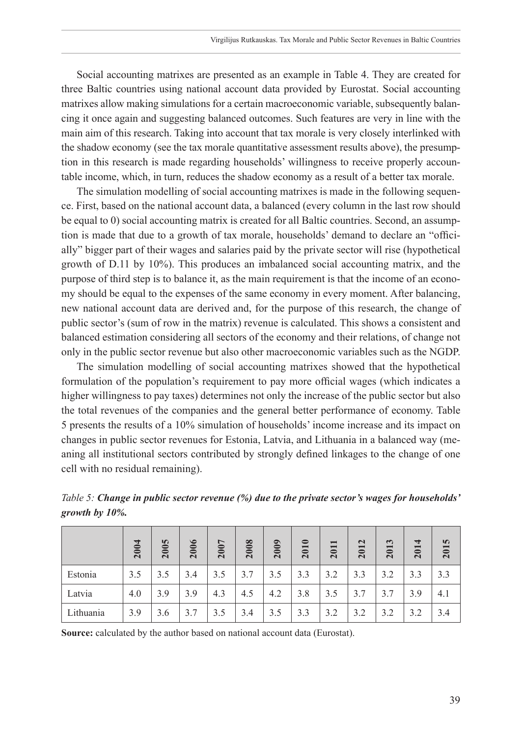Social accounting matrixes are presented as an example in Table 4. They are created for three Baltic countries using national account data provided by Eurostat. Social accounting matrixes allow making simulations for a certain macroeconomic variable, subsequently balancing it once again and suggesting balanced outcomes. Such features are very in line with the main aim of this research. Taking into account that tax morale is very closely interlinked with the shadow economy (see the tax morale quantitative assessment results above), the presumption in this research is made regarding households' willingness to receive properly accountable income, which, in turn, reduces the shadow economy as a result of a better tax morale.

The simulation modelling of social accounting matrixes is made in the following sequence. First, based on the national account data, a balanced (every column in the last row should be equal to 0) social accounting matrix is created for all Baltic countries. Second, an assumption is made that due to a growth of tax morale, households' demand to declare an "officially" bigger part of their wages and salaries paid by the private sector will rise (hypothetical growth of D.11 by 10%). This produces an imbalanced social accounting matrix, and the purpose of third step is to balance it, as the main requirement is that the income of an economy should be equal to the expenses of the same economy in every moment. After balancing, new national account data are derived and, for the purpose of this research, the change of public sector's (sum of row in the matrix) revenue is calculated. This shows a consistent and balanced estimation considering all sectors of the economy and their relations, of change not only in the public sector revenue but also other macroeconomic variables such as the NGDP.

The simulation modelling of social accounting matrixes showed that the hypothetical formulation of the population's requirement to pay more official wages (which indicates a higher willingness to pay taxes) determines not only the increase of the public sector but also the total revenues of the companies and the general better performance of economy. Table 5 presents the results of a 10% simulation of households' income increase and its impact on changes in public sector revenues for Estonia, Latvia, and Lithuania in a balanced way (meaning all institutional sectors contributed by strongly defined linkages to the change of one cell with no residual remaining).

*Table 5: Change in public sector revenue (%) due to the private sector's wages for households' growth by 10%.*

|           | 2004 | 2005 | 2006 | 2007 | 2008 | 2009 | 2010 | 2011 | 2012 | $\mathbf{c}$<br>201 | 2014 | n<br>201 |
|-----------|------|------|------|------|------|------|------|------|------|---------------------|------|----------|
| Estonia   | 3.5  | 3.5  | 3.4  | 3.5  | 3.7  | 3.5  | 3.3  | 3.2  | 3.3  | 3.2                 | 3.3  | 3.3      |
| Latvia    | 4.0  | 3.9  | 3.9  | 4.3  | 4.5  | 4.2  | 3.8  | 3.5  | 3.7  | 3.7                 | 3.9  | 4.1      |
| Lithuania | 3.9  | 3.6  | 3.7  | 3.5  | 3.4  | 3.5  | 3.3  | 3.2  | 3.2  | 3.2                 | 3.2  | 3.4      |

**Source:** calculated by the author based on national account data (Eurostat).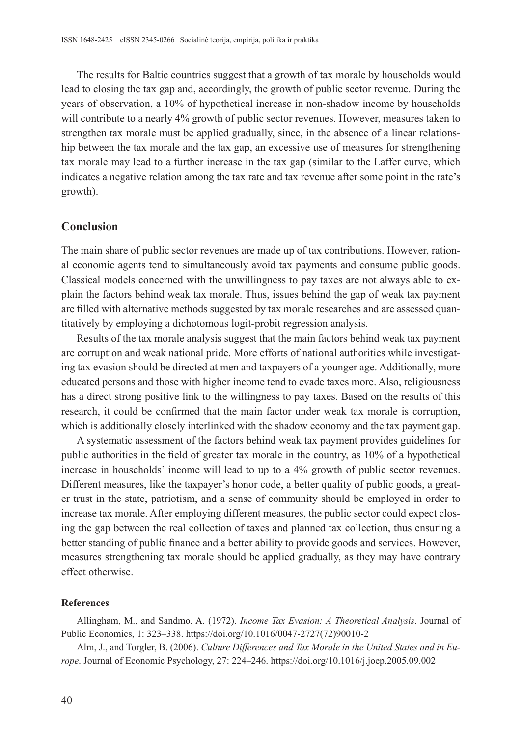The results for Baltic countries suggest that a growth of tax morale by households would lead to closing the tax gap and, accordingly, the growth of public sector revenue. During the years of observation, a 10% of hypothetical increase in non-shadow income by households will contribute to a nearly 4% growth of public sector revenues. However, measures taken to strengthen tax morale must be applied gradually, since, in the absence of a linear relationship between the tax morale and the tax gap, an excessive use of measures for strengthening tax morale may lead to a further increase in the tax gap (similar to the Laffer curve, which indicates a negative relation among the tax rate and tax revenue after some point in the rate's growth).

## **Conclusion**

The main share of public sector revenues are made up of tax contributions. However, rational economic agents tend to simultaneously avoid tax payments and consume public goods. Classical models concerned with the unwillingness to pay taxes are not always able to explain the factors behind weak tax morale. Thus, issues behind the gap of weak tax payment are filled with alternative methods suggested by tax morale researches and are assessed quantitatively by employing a dichotomous logit-probit regression analysis.

Results of the tax morale analysis suggest that the main factors behind weak tax payment are corruption and weak national pride. More efforts of national authorities while investigating tax evasion should be directed at men and taxpayers of a younger age. Additionally, more educated persons and those with higher income tend to evade taxes more. Also, religiousness has a direct strong positive link to the willingness to pay taxes. Based on the results of this research, it could be confirmed that the main factor under weak tax morale is corruption, which is additionally closely interlinked with the shadow economy and the tax payment gap.

A systematic assessment of the factors behind weak tax payment provides guidelines for public authorities in the field of greater tax morale in the country, as 10% of a hypothetical increase in households' income will lead to up to a 4% growth of public sector revenues. Different measures, like the taxpayer's honor code, a better quality of public goods, a greater trust in the state, patriotism, and a sense of community should be employed in order to increase tax morale. After employing different measures, the public sector could expect closing the gap between the real collection of taxes and planned tax collection, thus ensuring a better standing of public finance and a better ability to provide goods and services. However, measures strengthening tax morale should be applied gradually, as they may have contrary effect otherwise.

#### **References**

Allingham, M., and Sandmo, A. (1972). *Income Tax Evasion: A Theoretical Analysis*. Journal of Public Economics, 1: 323–338. [https://doi.org/10.1016/0047-2727\(72\)90010-2](https://doi.org/10.1016/0047-2727(72)90010-2)

Alm, J., and Torgler, B. (2006). *Culture Differences and Tax Morale in the United States and in Europe*. Journal of Economic Psychology, 27: 224–246.<https://doi.org/10.1016/j.joep.2005.09.002>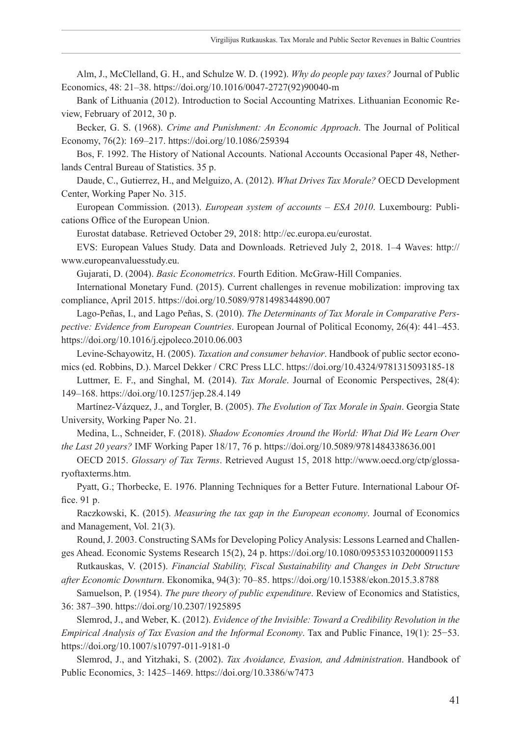Alm, J., McClelland, G. H., and Schulze W. D. (1992). *Why do people pay taxes?* Journal of Public Economics, 48: 21–38. [https://doi.org/10.1016/0047-2727\(92\)90040-m](https://doi.org/10.1016/0047-2727(92)90040-m)

Bank of Lithuania (2012). Introduction to Social Accounting Matrixes. Lithuanian Economic Review, February of 2012, 30 p.

Becker, G. S. (1968). *Crime and Punishment: An Economic Approach*. The Journal of Political Economy, 76(2): 169–217.<https://doi.org/10.1086/259394>

Bos, F. 1992. The History of National Accounts. National Accounts Occasional Paper 48, Netherlands Central Bureau of Statistics. 35 p.

Daude, C., Gutierrez, H., and Melguizo, A. (2012). *What Drives Tax Morale?* OECD Development Center, Working Paper No. 315.

European Commission. (2013). *European system of accounts – ESA 2010*. Luxembourg: Publications Office of the European Union.

Eurostat database. Retrieved October 29, 2018: <http://ec.europa.eu/eurostat>.

EVS: European Values Study. Data and Downloads. Retrieved July 2, 2018. 1–4 Waves: [http://](http://www.europeanvaluesstudy.eu/) [www.europeanvaluesstudy.eu](http://www.europeanvaluesstudy.eu/).

Gujarati, D. (2004). *Basic Econometrics*. Fourth Edition. McGraw-Hill Companies.

International Monetary Fund. (2015). Current challenges in revenue mobilization: improving tax compliance, April 2015. <https://doi.org/10.5089/9781498344890.007>

Lago-Peñas, I., and Lago Peñas, S. (2010). *The Determinants of Tax Morale in Comparative Perspective: Evidence from European Countries*. European Journal of Political Economy, 26(4): 441–453. <https://doi.org/10.1016/j.ejpoleco.2010.06.003>

Levine-Schayowitz, H. (2005). *Taxation and consumer behavior*. Handbook of public sector economics (ed. Robbins, D.). Marcel Dekker / CRC Press LLC. <https://doi.org/10.4324/9781315093185-18>

Luttmer, E. F., and Singhal, M. (2014). *Tax Morale*. Journal of Economic Perspectives, 28(4): 149–168. <https://doi.org/10.1257/jep.28.4.149>

Martínez-Vázquez, J., and Torgler, B. (2005). *The Evolution of Tax Morale in Spain*. Georgia State University, Working Paper No. 21.

Medina, L., Schneider, F. (2018). *Shadow Economies Around the World: What Did We Learn Over the Last 20 years?* IMF Working Paper 18/17, 76 p. <https://doi.org/10.5089/9781484338636.001>

OECD 2015. *Glossary of Tax Terms*. Retrieved August 15, 2018 [http://www.oecd.org/ctp/glossa](http://www.oecd.org/ctp/glossaryoftaxterms.htm)[ryoftaxterms.htm.](http://www.oecd.org/ctp/glossaryoftaxterms.htm)

Pyatt, G.; Thorbecke, E. 1976. Planning Techniques for a Better Future. International Labour Office. 91 p.

Raczkowski, K. (2015). *Measuring the tax gap in the European economy*. Journal of Economics and Management, Vol. 21(3).

Round, J. 2003. Constructing SAMs for Developing Policy Analysis: Lessons Learned and Challenges Ahead. Economic Systems Research 15(2), 24 p. <https://doi.org/10.1080/0953531032000091153>

Rutkauskas, V. (2015). *Financial Stability, Fiscal Sustainability and Changes in Debt Structure after Economic Downturn*. Ekonomika, 94(3): 70–85.<https://doi.org/10.15388/ekon.2015.3.8788>

Samuelson, P. (1954). *The pure theory of public expenditure*. Review of Economics and Statistics, 36: 387–390.<https://doi.org/10.2307/1925895>

Slemrod, J., and Weber, K. (2012). *Evidence of the Invisible: Toward a Credibility Revolution in the Empirical Analysis of Tax Evasion and the Informal Economy*. Tax and Public Finance, 19(1): 25−53. <https://doi.org/10.1007/s10797-011-9181-0>

Slemrod, J., and Yitzhaki, S. (2002). *Tax Avoidance, Evasion, and Administration*. Handbook of Public Economics, 3: 1425–1469. <https://doi.org/10.3386/w7473>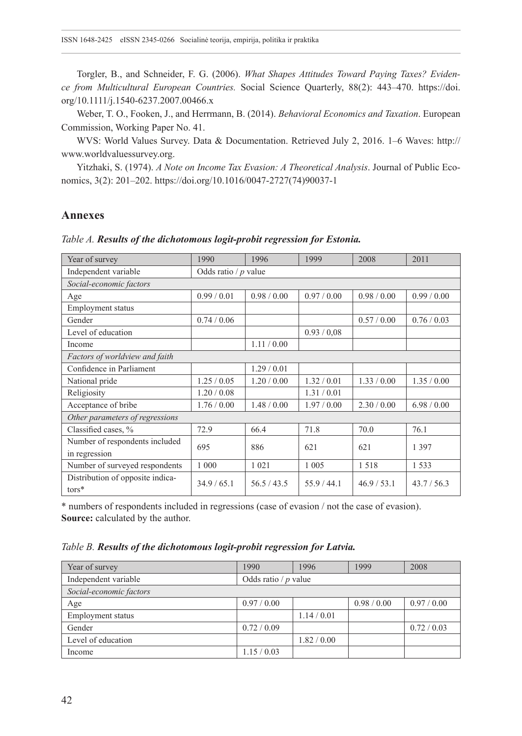Torgler, B., and Schneider, F. G. (2006). *What Shapes Attitudes Toward Paying Taxes? Evidence from Multicultural European Countries.* Social Science Quarterly, 88(2): 443–470. [https://doi.](https://doi.org/10.1111/j.1540-6237.2007.00466.x) [org/10.1111/j.1540-6237.2007.00466.x](https://doi.org/10.1111/j.1540-6237.2007.00466.x)

Weber, T. O., Fooken, J., and Herrmann, B. (2014). *Behavioral Economics and Taxation*. European Commission, Working Paper No. 41.

WVS: World Values Survey. Data & Documentation. Retrieved July 2, 2016. 1–6 Waves: [http://](http://www.worldvaluessurvey.org/) [www.worldvaluessurvey.org](http://www.worldvaluessurvey.org/).

Yitzhaki, S. (1974). *A Note on Income Tax Evasion: A Theoretical Analysis*. Journal of Public Economics, 3(2): 201–202. [https://doi.org/10.1016/0047-2727\(74\)90037-1](https://doi.org/10.1016/0047-2727(74)90037-1)

## **Annexes**

*Table A. Results of the dichotomous logit-probit regression for Estonia.*

| Year of survey                               | 1990                   | 1996        | 1999        | 2008        | 2011        |  |  |  |  |
|----------------------------------------------|------------------------|-------------|-------------|-------------|-------------|--|--|--|--|
| Independent variable                         | Odds ratio / $p$ value |             |             |             |             |  |  |  |  |
| Social-economic factors                      |                        |             |             |             |             |  |  |  |  |
| Age                                          | 0.99/0.01              | 0.98 / 0.00 | 0.97/0.00   | 0.98 / 0.00 | 0.99/0.00   |  |  |  |  |
| <b>Employment</b> status                     |                        |             |             |             |             |  |  |  |  |
| Gender                                       | 0.74/0.06              |             |             | 0.57/0.00   | 0.76/0.03   |  |  |  |  |
| Level of education                           |                        |             | 0.93 / 0.08 |             |             |  |  |  |  |
| Income                                       |                        | 1.11/0.00   |             |             |             |  |  |  |  |
| Factors of worldview and faith               |                        |             |             |             |             |  |  |  |  |
| Confidence in Parliament                     |                        | 1.29/0.01   |             |             |             |  |  |  |  |
| National pride                               | 1.25/0.05              | 1.20 / 0.00 | 1.32/0.01   | 1.33/0.00   | 1.35/0.00   |  |  |  |  |
| Religiosity                                  | 1.20 / 0.08            |             | 1.31 / 0.01 |             |             |  |  |  |  |
| Acceptance of bribe                          | 1.76/0.00              | 1.48/0.00   | 1.97/0.00   | 2.30 / 0.00 | 6.98 / 0.00 |  |  |  |  |
| Other parameters of regressions              |                        |             |             |             |             |  |  |  |  |
| Classified cases, %                          | 72.9                   | 66.4        | 71.8        | 70.0        | 76.1        |  |  |  |  |
| Number of respondents included               | 695                    | 886         | 621         | 621         | 1 3 9 7     |  |  |  |  |
| in regression                                |                        |             |             |             |             |  |  |  |  |
| Number of surveyed respondents               | 1 000                  | 1 0 2 1     | 1 0 0 5     | 1518        | 1 5 3 3     |  |  |  |  |
| Distribution of opposite indica-<br>$tors^*$ | 34.9/65.1              | 56.5/43.5   | 55.9 / 44.1 | 46.9/53.1   | 43.7 / 56.3 |  |  |  |  |

\* numbers of respondents included in regressions (case of evasion / not the case of evasion). **Source:** calculated by the author.

*Table B. Results of the dichotomous logit-probit regression for Latvia.*

| Year of survey          | 1990                   | 1996        | 1999        | 2008      |  |  |  |
|-------------------------|------------------------|-------------|-------------|-----------|--|--|--|
| Independent variable    | Odds ratio / $p$ value |             |             |           |  |  |  |
| Social-economic factors |                        |             |             |           |  |  |  |
| Age                     | 0.97/0.00              |             | 0.98 / 0.00 | 0.97/0.00 |  |  |  |
| Employment status       |                        | 1.14/0.01   |             |           |  |  |  |
| Gender                  | 0.72/0.09              |             |             | 0.72/0.03 |  |  |  |
| Level of education      |                        | 1.82 / 0.00 |             |           |  |  |  |
| Income                  | 1.15/0.03              |             |             |           |  |  |  |